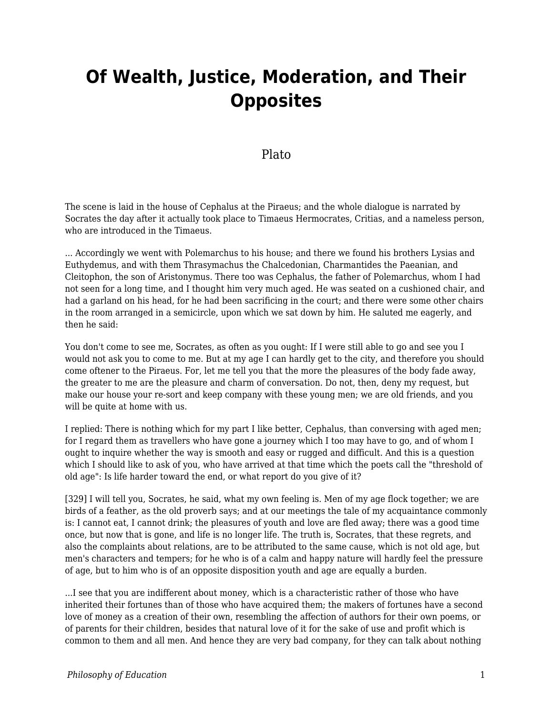# **Of Wealth, Justice, Moderation, and Their Opposites**

# Plato

The scene is laid in the house of Cephalus at the Piraeus; and the whole dialogue is narrated by Socrates the day after it actually took place to Timaeus Hermocrates, Critias, and a nameless person, who are introduced in the Timaeus.

... Accordingly we went with Polemarchus to his house; and there we found his brothers Lysias and Euthydemus, and with them Thrasymachus the Chalcedonian, Charmantides the Paeanian, and Cleitophon, the son of Aristonymus. There too was Cephalus, the father of Polemarchus, whom I had not seen for a long time, and I thought him very much aged. He was seated on a cushioned chair, and had a garland on his head, for he had been sacrificing in the court; and there were some other chairs in the room arranged in a semicircle, upon which we sat down by him. He saluted me eagerly, and then he said:

You don't come to see me, Socrates, as often as you ought: If I were still able to go and see you I would not ask you to come to me. But at my age I can hardly get to the city, and therefore you should come oftener to the Piraeus. For, let me tell you that the more the pleasures of the body fade away, the greater to me are the pleasure and charm of conversation. Do not, then, deny my request, but make our house your re-sort and keep company with these young men; we are old friends, and you will be quite at home with us.

I replied: There is nothing which for my part I like better, Cephalus, than conversing with aged men; for I regard them as travellers who have gone a journey which I too may have to go, and of whom I ought to inquire whether the way is smooth and easy or rugged and difficult. And this is a question which I should like to ask of you, who have arrived at that time which the poets call the "threshold of old age": Is life harder toward the end, or what report do you give of it?

[329] I will tell you, Socrates, he said, what my own feeling is. Men of my age flock together; we are birds of a feather, as the old proverb says; and at our meetings the tale of my acquaintance commonly is: I cannot eat, I cannot drink; the pleasures of youth and love are fled away; there was a good time once, but now that is gone, and life is no longer life. The truth is, Socrates, that these regrets, and also the complaints about relations, are to be attributed to the same cause, which is not old age, but men's characters and tempers; for he who is of a calm and happy nature will hardly feel the pressure of age, but to him who is of an opposite disposition youth and age are equally a burden.

...I see that you are indifferent about money, which is a characteristic rather of those who have inherited their fortunes than of those who have acquired them; the makers of fortunes have a second love of money as a creation of their own, resembling the affection of authors for their own poems, or of parents for their children, besides that natural love of it for the sake of use and profit which is common to them and all men. And hence they are very bad company, for they can talk about nothing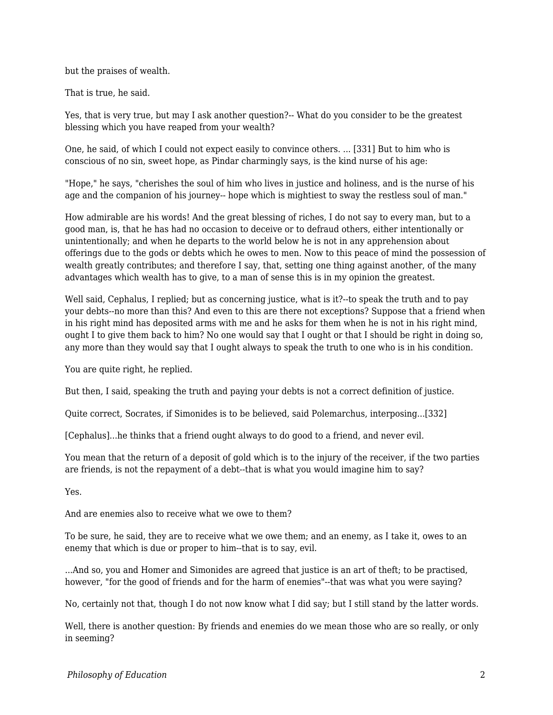but the praises of wealth.

That is true, he said.

Yes, that is very true, but may I ask another question?-- What do you consider to be the greatest blessing which you have reaped from your wealth?

One, he said, of which I could not expect easily to convince others. ... [331] But to him who is conscious of no sin, sweet hope, as Pindar charmingly says, is the kind nurse of his age:

"Hope," he says, "cherishes the soul of him who lives in justice and holiness, and is the nurse of his age and the companion of his journey-- hope which is mightiest to sway the restless soul of man."

How admirable are his words! And the great blessing of riches, I do not say to every man, but to a good man, is, that he has had no occasion to deceive or to defraud others, either intentionally or unintentionally; and when he departs to the world below he is not in any apprehension about offerings due to the gods or debts which he owes to men. Now to this peace of mind the possession of wealth greatly contributes; and therefore I say, that, setting one thing against another, of the many advantages which wealth has to give, to a man of sense this is in my opinion the greatest.

Well said, Cephalus, I replied; but as concerning justice, what is it?-to speak the truth and to pay your debts--no more than this? And even to this are there not exceptions? Suppose that a friend when in his right mind has deposited arms with me and he asks for them when he is not in his right mind, ought I to give them back to him? No one would say that I ought or that I should be right in doing so, any more than they would say that I ought always to speak the truth to one who is in his condition.

You are quite right, he replied.

But then, I said, speaking the truth and paying your debts is not a correct definition of justice.

Quite correct, Socrates, if Simonides is to be believed, said Polemarchus, interposing...[332]

[Cephalus]...he thinks that a friend ought always to do good to a friend, and never evil.

You mean that the return of a deposit of gold which is to the injury of the receiver, if the two parties are friends, is not the repayment of a debt--that is what you would imagine him to say?

Yes.

And are enemies also to receive what we owe to them?

To be sure, he said, they are to receive what we owe them; and an enemy, as I take it, owes to an enemy that which is due or proper to him--that is to say, evil.

...And so, you and Homer and Simonides are agreed that justice is an art of theft; to be practised, however, "for the good of friends and for the harm of enemies"--that was what you were saying?

No, certainly not that, though I do not now know what I did say; but I still stand by the latter words.

Well, there is another question: By friends and enemies do we mean those who are so really, or only in seeming?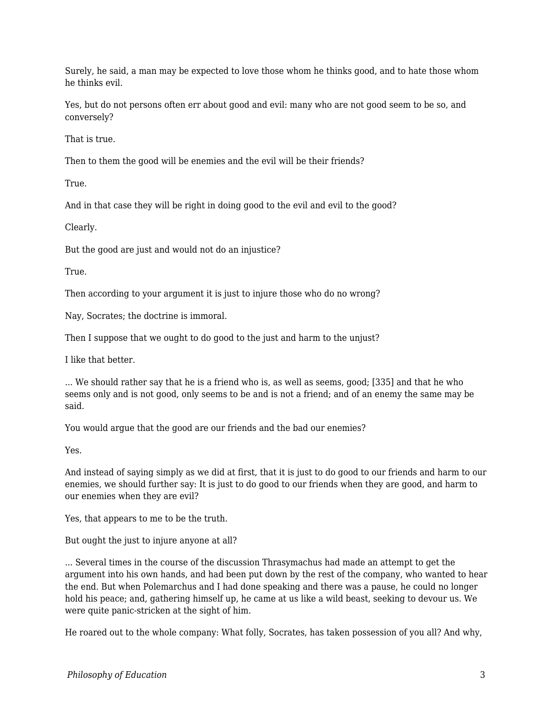Surely, he said, a man may be expected to love those whom he thinks good, and to hate those whom he thinks evil.

Yes, but do not persons often err about good and evil: many who are not good seem to be so, and conversely?

That is true.

Then to them the good will be enemies and the evil will be their friends?

True.

And in that case they will be right in doing good to the evil and evil to the good?

Clearly.

But the good are just and would not do an injustice?

True.

Then according to your argument it is just to injure those who do no wrong?

Nay, Socrates; the doctrine is immoral.

Then I suppose that we ought to do good to the just and harm to the unjust?

I like that better.

... We should rather say that he is a friend who is, as well as seems, good; [335] and that he who seems only and is not good, only seems to be and is not a friend; and of an enemy the same may be said.

You would argue that the good are our friends and the bad our enemies?

Yes.

And instead of saying simply as we did at first, that it is just to do good to our friends and harm to our enemies, we should further say: It is just to do good to our friends when they are good, and harm to our enemies when they are evil?

Yes, that appears to me to be the truth.

But ought the just to injure anyone at all?

... Several times in the course of the discussion Thrasymachus had made an attempt to get the argument into his own hands, and had been put down by the rest of the company, who wanted to hear the end. But when Polemarchus and I had done speaking and there was a pause, he could no longer hold his peace; and, gathering himself up, he came at us like a wild beast, seeking to devour us. We were quite panic-stricken at the sight of him.

He roared out to the whole company: What folly, Socrates, has taken possession of you all? And why,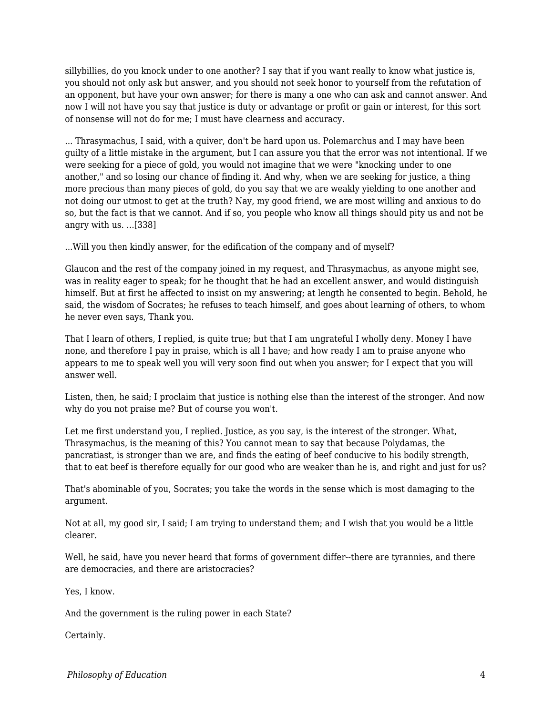sillybillies, do you knock under to one another? I say that if you want really to know what justice is, you should not only ask but answer, and you should not seek honor to yourself from the refutation of an opponent, but have your own answer; for there is many a one who can ask and cannot answer. And now I will not have you say that justice is duty or advantage or profit or gain or interest, for this sort of nonsense will not do for me; I must have clearness and accuracy.

... Thrasymachus, I said, with a quiver, don't be hard upon us. Polemarchus and I may have been guilty of a little mistake in the argument, but I can assure you that the error was not intentional. If we were seeking for a piece of gold, you would not imagine that we were "knocking under to one another," and so losing our chance of finding it. And why, when we are seeking for justice, a thing more precious than many pieces of gold, do you say that we are weakly yielding to one another and not doing our utmost to get at the truth? Nay, my good friend, we are most willing and anxious to do so, but the fact is that we cannot. And if so, you people who know all things should pity us and not be angry with us. ...[338]

...Will you then kindly answer, for the edification of the company and of myself?

Glaucon and the rest of the company joined in my request, and Thrasymachus, as anyone might see, was in reality eager to speak; for he thought that he had an excellent answer, and would distinguish himself. But at first he affected to insist on my answering; at length he consented to begin. Behold, he said, the wisdom of Socrates; he refuses to teach himself, and goes about learning of others, to whom he never even says, Thank you.

That I learn of others, I replied, is quite true; but that I am ungrateful I wholly deny. Money I have none, and therefore I pay in praise, which is all I have; and how ready I am to praise anyone who appears to me to speak well you will very soon find out when you answer; for I expect that you will answer well.

Listen, then, he said; I proclaim that justice is nothing else than the interest of the stronger. And now why do you not praise me? But of course you won't.

Let me first understand you, I replied. Justice, as you say, is the interest of the stronger. What, Thrasymachus, is the meaning of this? You cannot mean to say that because Polydamas, the pancratiast, is stronger than we are, and finds the eating of beef conducive to his bodily strength, that to eat beef is therefore equally for our good who are weaker than he is, and right and just for us?

That's abominable of you, Socrates; you take the words in the sense which is most damaging to the argument.

Not at all, my good sir, I said; I am trying to understand them; and I wish that you would be a little clearer.

Well, he said, have you never heard that forms of government differ--there are tyrannies, and there are democracies, and there are aristocracies?

Yes, I know.

And the government is the ruling power in each State?

Certainly.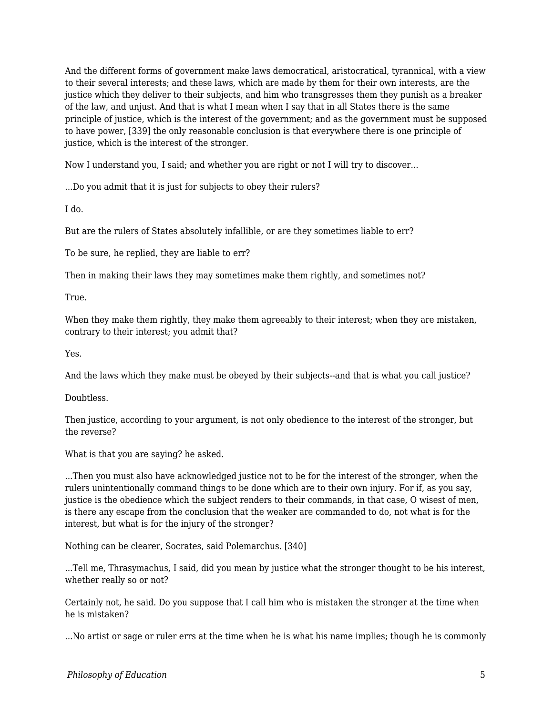And the different forms of government make laws democratical, aristocratical, tyrannical, with a view to their several interests; and these laws, which are made by them for their own interests, are the justice which they deliver to their subjects, and him who transgresses them they punish as a breaker of the law, and unjust. And that is what I mean when I say that in all States there is the same principle of justice, which is the interest of the government; and as the government must be supposed to have power, [339] the only reasonable conclusion is that everywhere there is one principle of justice, which is the interest of the stronger.

Now I understand you, I said; and whether you are right or not I will try to discover...

...Do you admit that it is just for subjects to obey their rulers?

I do.

But are the rulers of States absolutely infallible, or are they sometimes liable to err?

To be sure, he replied, they are liable to err?

Then in making their laws they may sometimes make them rightly, and sometimes not?

True.

When they make them rightly, they make them agreeably to their interest; when they are mistaken, contrary to their interest; you admit that?

Yes.

And the laws which they make must be obeyed by their subjects--and that is what you call justice?

Doubtless.

Then justice, according to your argument, is not only obedience to the interest of the stronger, but the reverse?

What is that you are saying? he asked.

...Then you must also have acknowledged justice not to be for the interest of the stronger, when the rulers unintentionally command things to be done which are to their own injury. For if, as you say, justice is the obedience which the subject renders to their commands, in that case, O wisest of men, is there any escape from the conclusion that the weaker are commanded to do, not what is for the interest, but what is for the injury of the stronger?

Nothing can be clearer, Socrates, said Polemarchus. [340]

...Tell me, Thrasymachus, I said, did you mean by justice what the stronger thought to be his interest, whether really so or not?

Certainly not, he said. Do you suppose that I call him who is mistaken the stronger at the time when he is mistaken?

...No artist or sage or ruler errs at the time when he is what his name implies; though he is commonly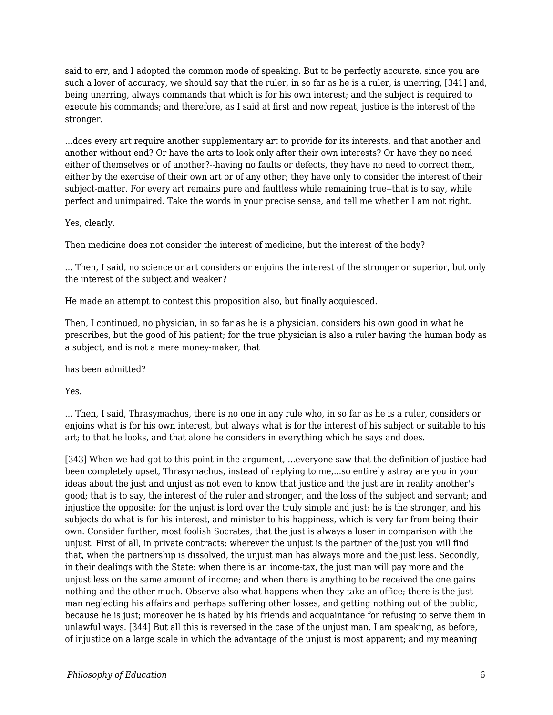said to err, and I adopted the common mode of speaking. But to be perfectly accurate, since you are such a lover of accuracy, we should say that the ruler, in so far as he is a ruler, is unerring, [341] and, being unerring, always commands that which is for his own interest; and the subject is required to execute his commands; and therefore, as I said at first and now repeat, justice is the interest of the stronger.

...does every art require another supplementary art to provide for its interests, and that another and another without end? Or have the arts to look only after their own interests? Or have they no need either of themselves or of another?--having no faults or defects, they have no need to correct them, either by the exercise of their own art or of any other; they have only to consider the interest of their subject-matter. For every art remains pure and faultless while remaining true--that is to say, while perfect and unimpaired. Take the words in your precise sense, and tell me whether I am not right.

#### Yes, clearly.

Then medicine does not consider the interest of medicine, but the interest of the body?

... Then, I said, no science or art considers or enjoins the interest of the stronger or superior, but only the interest of the subject and weaker?

He made an attempt to contest this proposition also, but finally acquiesced.

Then, I continued, no physician, in so far as he is a physician, considers his own good in what he prescribes, but the good of his patient; for the true physician is also a ruler having the human body as a subject, and is not a mere money-maker; that

has been admitted?

Yes.

... Then, I said, Thrasymachus, there is no one in any rule who, in so far as he is a ruler, considers or enjoins what is for his own interest, but always what is for the interest of his subject or suitable to his art; to that he looks, and that alone he considers in everything which he says and does.

[343] When we had got to this point in the argument, ...everyone saw that the definition of justice had been completely upset, Thrasymachus, instead of replying to me,...so entirely astray are you in your ideas about the just and unjust as not even to know that justice and the just are in reality another's good; that is to say, the interest of the ruler and stronger, and the loss of the subject and servant; and injustice the opposite; for the unjust is lord over the truly simple and just: he is the stronger, and his subjects do what is for his interest, and minister to his happiness, which is very far from being their own. Consider further, most foolish Socrates, that the just is always a loser in comparison with the unjust. First of all, in private contracts: wherever the unjust is the partner of the just you will find that, when the partnership is dissolved, the unjust man has always more and the just less. Secondly, in their dealings with the State: when there is an income-tax, the just man will pay more and the unjust less on the same amount of income; and when there is anything to be received the one gains nothing and the other much. Observe also what happens when they take an office; there is the just man neglecting his affairs and perhaps suffering other losses, and getting nothing out of the public, because he is just; moreover he is hated by his friends and acquaintance for refusing to serve them in unlawful ways. [344] But all this is reversed in the case of the unjust man. I am speaking, as before, of injustice on a large scale in which the advantage of the unjust is most apparent; and my meaning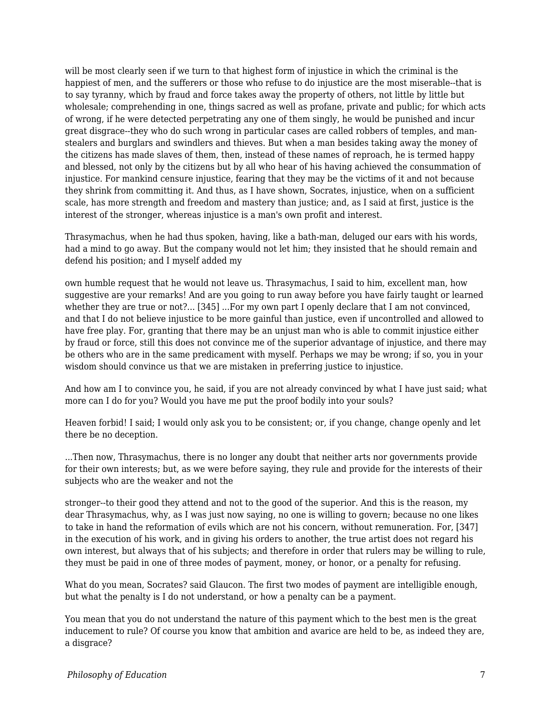will be most clearly seen if we turn to that highest form of injustice in which the criminal is the happiest of men, and the sufferers or those who refuse to do injustice are the most miserable--that is to say tyranny, which by fraud and force takes away the property of others, not little by little but wholesale; comprehending in one, things sacred as well as profane, private and public; for which acts of wrong, if he were detected perpetrating any one of them singly, he would be punished and incur great disgrace--they who do such wrong in particular cases are called robbers of temples, and manstealers and burglars and swindlers and thieves. But when a man besides taking away the money of the citizens has made slaves of them, then, instead of these names of reproach, he is termed happy and blessed, not only by the citizens but by all who hear of his having achieved the consummation of injustice. For mankind censure injustice, fearing that they may be the victims of it and not because they shrink from committing it. And thus, as I have shown, Socrates, injustice, when on a sufficient scale, has more strength and freedom and mastery than justice; and, as I said at first, justice is the interest of the stronger, whereas injustice is a man's own profit and interest.

Thrasymachus, when he had thus spoken, having, like a bath-man, deluged our ears with his words, had a mind to go away. But the company would not let him; they insisted that he should remain and defend his position; and I myself added my

own humble request that he would not leave us. Thrasymachus, I said to him, excellent man, how suggestive are your remarks! And are you going to run away before you have fairly taught or learned whether they are true or not?... [345] ...For my own part I openly declare that I am not convinced, and that I do not believe injustice to be more gainful than justice, even if uncontrolled and allowed to have free play. For, granting that there may be an unjust man who is able to commit injustice either by fraud or force, still this does not convince me of the superior advantage of injustice, and there may be others who are in the same predicament with myself. Perhaps we may be wrong; if so, you in your wisdom should convince us that we are mistaken in preferring justice to injustice.

And how am I to convince you, he said, if you are not already convinced by what I have just said; what more can I do for you? Would you have me put the proof bodily into your souls?

Heaven forbid! I said; I would only ask you to be consistent; or, if you change, change openly and let there be no deception.

...Then now, Thrasymachus, there is no longer any doubt that neither arts nor governments provide for their own interests; but, as we were before saying, they rule and provide for the interests of their subjects who are the weaker and not the

stronger--to their good they attend and not to the good of the superior. And this is the reason, my dear Thrasymachus, why, as I was just now saying, no one is willing to govern; because no one likes to take in hand the reformation of evils which are not his concern, without remuneration. For, [347] in the execution of his work, and in giving his orders to another, the true artist does not regard his own interest, but always that of his subjects; and therefore in order that rulers may be willing to rule, they must be paid in one of three modes of payment, money, or honor, or a penalty for refusing.

What do you mean, Socrates? said Glaucon. The first two modes of payment are intelligible enough, but what the penalty is I do not understand, or how a penalty can be a payment.

You mean that you do not understand the nature of this payment which to the best men is the great inducement to rule? Of course you know that ambition and avarice are held to be, as indeed they are, a disgrace?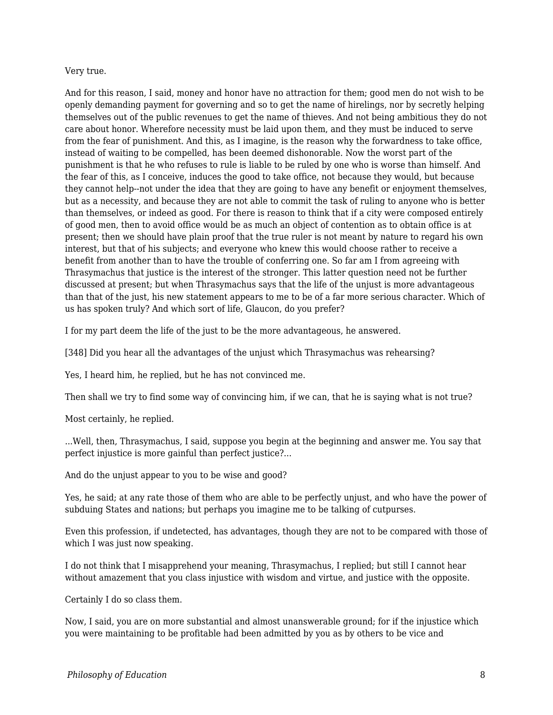#### Very true.

And for this reason, I said, money and honor have no attraction for them; good men do not wish to be openly demanding payment for governing and so to get the name of hirelings, nor by secretly helping themselves out of the public revenues to get the name of thieves. And not being ambitious they do not care about honor. Wherefore necessity must be laid upon them, and they must be induced to serve from the fear of punishment. And this, as I imagine, is the reason why the forwardness to take office, instead of waiting to be compelled, has been deemed dishonorable. Now the worst part of the punishment is that he who refuses to rule is liable to be ruled by one who is worse than himself. And the fear of this, as I conceive, induces the good to take office, not because they would, but because they cannot help--not under the idea that they are going to have any benefit or enjoyment themselves, but as a necessity, and because they are not able to commit the task of ruling to anyone who is better than themselves, or indeed as good. For there is reason to think that if a city were composed entirely of good men, then to avoid office would be as much an object of contention as to obtain office is at present; then we should have plain proof that the true ruler is not meant by nature to regard his own interest, but that of his subjects; and everyone who knew this would choose rather to receive a benefit from another than to have the trouble of conferring one. So far am I from agreeing with Thrasymachus that justice is the interest of the stronger. This latter question need not be further discussed at present; but when Thrasymachus says that the life of the unjust is more advantageous than that of the just, his new statement appears to me to be of a far more serious character. Which of us has spoken truly? And which sort of life, Glaucon, do you prefer?

I for my part deem the life of the just to be the more advantageous, he answered.

[348] Did you hear all the advantages of the unjust which Thrasymachus was rehearsing?

Yes, I heard him, he replied, but he has not convinced me.

Then shall we try to find some way of convincing him, if we can, that he is saying what is not true?

Most certainly, he replied.

...Well, then, Thrasymachus, I said, suppose you begin at the beginning and answer me. You say that perfect injustice is more gainful than perfect justice?...

And do the unjust appear to you to be wise and good?

Yes, he said; at any rate those of them who are able to be perfectly unjust, and who have the power of subduing States and nations; but perhaps you imagine me to be talking of cutpurses.

Even this profession, if undetected, has advantages, though they are not to be compared with those of which I was just now speaking.

I do not think that I misapprehend your meaning, Thrasymachus, I replied; but still I cannot hear without amazement that you class injustice with wisdom and virtue, and justice with the opposite.

Certainly I do so class them.

Now, I said, you are on more substantial and almost unanswerable ground; for if the injustice which you were maintaining to be profitable had been admitted by you as by others to be vice and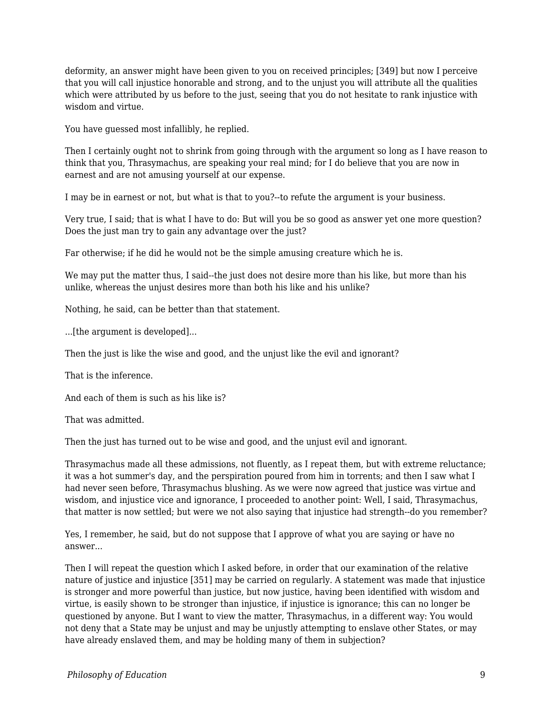deformity, an answer might have been given to you on received principles; [349] but now I perceive that you will call injustice honorable and strong, and to the unjust you will attribute all the qualities which were attributed by us before to the just, seeing that you do not hesitate to rank injustice with wisdom and virtue.

You have guessed most infallibly, he replied.

Then I certainly ought not to shrink from going through with the argument so long as I have reason to think that you, Thrasymachus, are speaking your real mind; for I do believe that you are now in earnest and are not amusing yourself at our expense.

I may be in earnest or not, but what is that to you?--to refute the argument is your business.

Very true, I said; that is what I have to do: But will you be so good as answer yet one more question? Does the just man try to gain any advantage over the just?

Far otherwise; if he did he would not be the simple amusing creature which he is.

We may put the matter thus, I said--the just does not desire more than his like, but more than his unlike, whereas the unjust desires more than both his like and his unlike?

Nothing, he said, can be better than that statement.

...[the argument is developed]...

Then the just is like the wise and good, and the unjust like the evil and ignorant?

That is the inference.

And each of them is such as his like is?

That was admitted.

Then the just has turned out to be wise and good, and the unjust evil and ignorant.

Thrasymachus made all these admissions, not fluently, as I repeat them, but with extreme reluctance; it was a hot summer's day, and the perspiration poured from him in torrents; and then I saw what I had never seen before, Thrasymachus blushing. As we were now agreed that justice was virtue and wisdom, and injustice vice and ignorance, I proceeded to another point: Well, I said, Thrasymachus, that matter is now settled; but were we not also saying that injustice had strength--do you remember?

Yes, I remember, he said, but do not suppose that I approve of what you are saying or have no answer...

Then I will repeat the question which I asked before, in order that our examination of the relative nature of justice and injustice [351] may be carried on regularly. A statement was made that injustice is stronger and more powerful than justice, but now justice, having been identified with wisdom and virtue, is easily shown to be stronger than injustice, if injustice is ignorance; this can no longer be questioned by anyone. But I want to view the matter, Thrasymachus, in a different way: You would not deny that a State may be unjust and may be unjustly attempting to enslave other States, or may have already enslaved them, and may be holding many of them in subjection?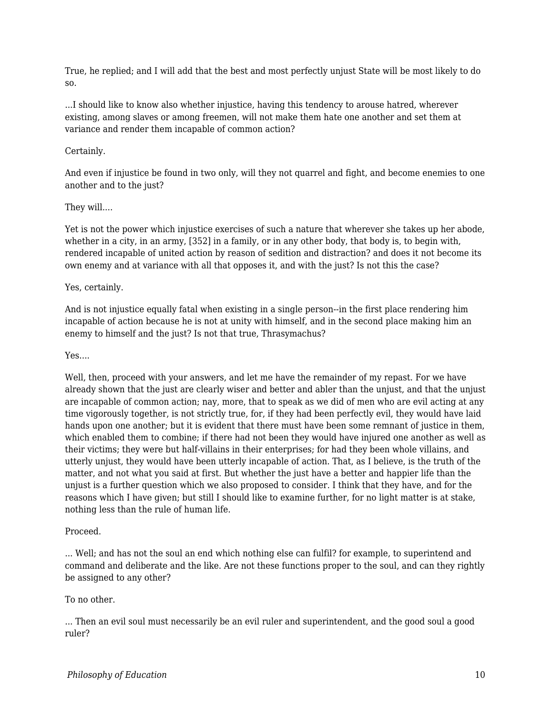True, he replied; and I will add that the best and most perfectly unjust State will be most likely to do so.

...I should like to know also whether injustice, having this tendency to arouse hatred, wherever existing, among slaves or among freemen, will not make them hate one another and set them at variance and render them incapable of common action?

## Certainly.

And even if injustice be found in two only, will they not quarrel and fight, and become enemies to one another and to the just?

#### They will....

Yet is not the power which injustice exercises of such a nature that wherever she takes up her abode, whether in a city, in an army, [352] in a family, or in any other body, that body is, to begin with, rendered incapable of united action by reason of sedition and distraction? and does it not become its own enemy and at variance with all that opposes it, and with the just? Is not this the case?

### Yes, certainly.

And is not injustice equally fatal when existing in a single person--in the first place rendering him incapable of action because he is not at unity with himself, and in the second place making him an enemy to himself and the just? Is not that true, Thrasymachus?

#### Yes....

Well, then, proceed with your answers, and let me have the remainder of my repast. For we have already shown that the just are clearly wiser and better and abler than the unjust, and that the unjust are incapable of common action; nay, more, that to speak as we did of men who are evil acting at any time vigorously together, is not strictly true, for, if they had been perfectly evil, they would have laid hands upon one another; but it is evident that there must have been some remnant of justice in them, which enabled them to combine; if there had not been they would have injured one another as well as their victims; they were but half-villains in their enterprises; for had they been whole villains, and utterly unjust, they would have been utterly incapable of action. That, as I believe, is the truth of the matter, and not what you said at first. But whether the just have a better and happier life than the unjust is a further question which we also proposed to consider. I think that they have, and for the reasons which I have given; but still I should like to examine further, for no light matter is at stake, nothing less than the rule of human life.

#### Proceed.

... Well; and has not the soul an end which nothing else can fulfil? for example, to superintend and command and deliberate and the like. Are not these functions proper to the soul, and can they rightly be assigned to any other?

#### To no other.

... Then an evil soul must necessarily be an evil ruler and superintendent, and the good soul a good ruler?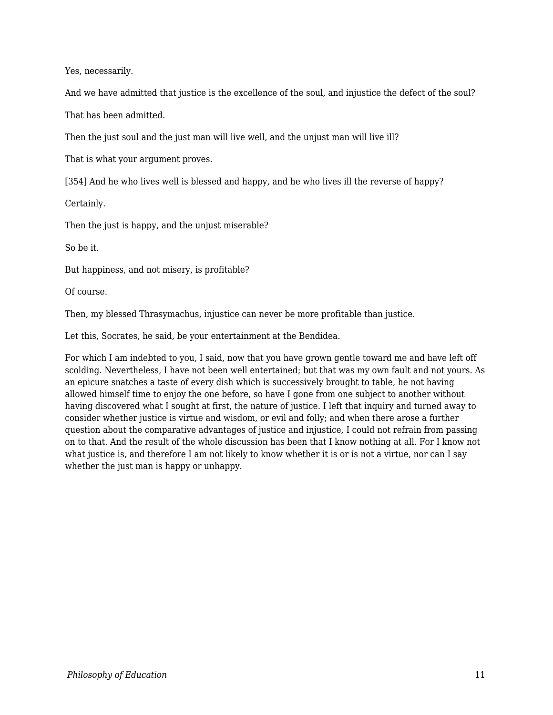Yes, necessarily.

And we have admitted that justice is the excellence of the soul, and injustice the defect of the soul?

That has been admitted.

Then the just soul and the just man will live well, and the unjust man will live ill?

That is what your argument proves.

[354] And he who lives well is blessed and happy, and he who lives ill the reverse of happy?

Certainly.

Then the just is happy, and the unjust miserable?

So be it.

But happiness, and not misery, is profitable?

Of course.

Then, my blessed Thrasymachus, injustice can never be more profitable than justice.

Let this, Socrates, he said, be your entertainment at the Bendidea.

For which I am indebted to you, I said, now that you have grown gentle toward me and have left off scolding. Nevertheless, I have not been well entertained; but that was my own fault and not yours. As an epicure snatches a taste of every dish which is successively brought to table, he not having allowed himself time to enjoy the one before, so have I gone from one subject to another without having discovered what I sought at first, the nature of justice. I left that inquiry and turned away to consider whether justice is virtue and wisdom, or evil and folly; and when there arose a further question about the comparative advantages of justice and injustice, I could not refrain from passing on to that. And the result of the whole discussion has been that I know nothing at all. For I know not what justice is, and therefore I am not likely to know whether it is or is not a virtue, nor can I say whether the just man is happy or unhappy.